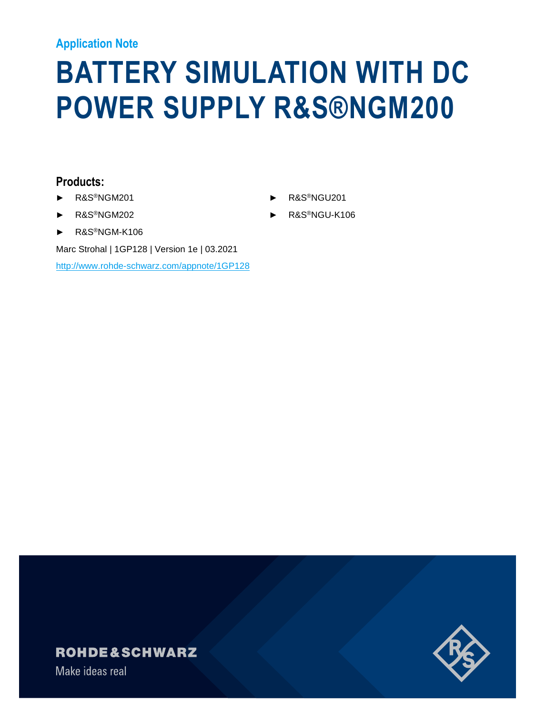#### **Application Note**

# **BATTERY SIMULATION WITH DC POWER SUPPLY R&S®NGM200**

- 
- ► R&S®NGM202
- ► R&S®NGM-K106

Marc Strohal | 1GP128 | Version 1e | 03.2021

<http://www.rohde-schwarz.com/appnote/1GP128>

### **Products:** ► R&S®NGM201 ► R&S®NGU201



### **ROHDE&SCHWARZ**

Make ideas real

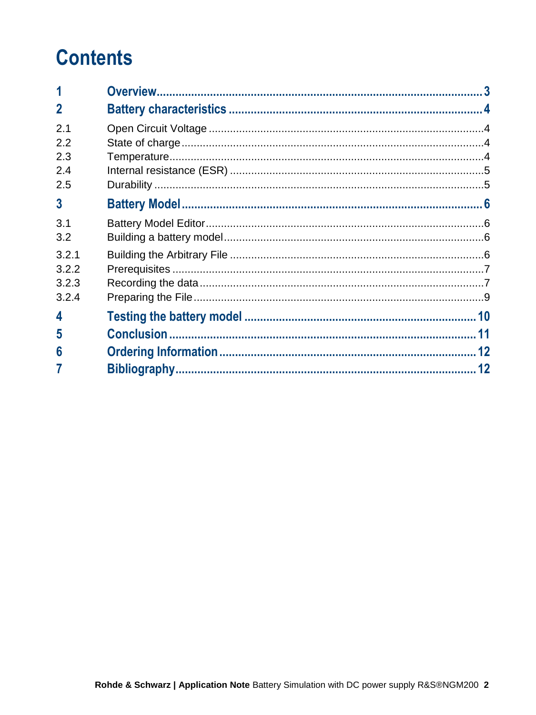# **Contents**

| $\mathbf 2$    |  |
|----------------|--|
| 2.1            |  |
| 2.2            |  |
| 2.3            |  |
| 2.4            |  |
| 2.5            |  |
| $\overline{3}$ |  |
| 3.1            |  |
| 3.2            |  |
| 3.2.1          |  |
| 3.2.2          |  |
| 3.2.3          |  |
| 3.2.4          |  |
| 4              |  |
| 5              |  |
| 6              |  |
|                |  |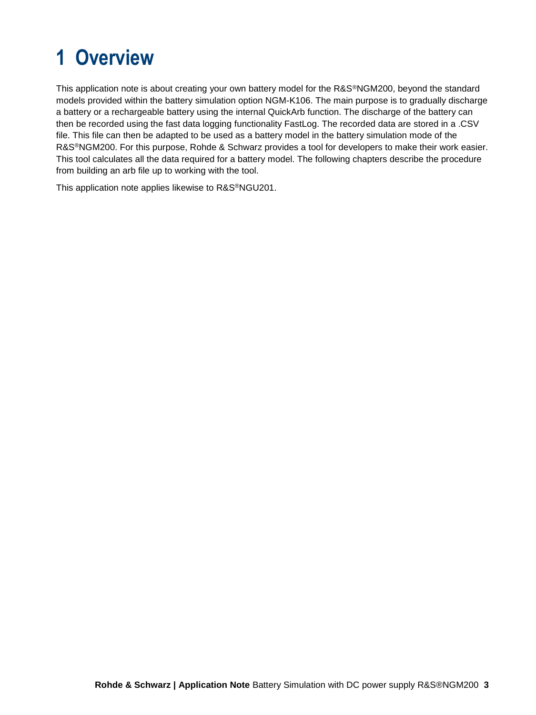# <span id="page-2-0"></span>**1 Overview**

This application note is about creating your own battery model for the R&S®NGM200, beyond the standard models provided within the battery simulation option NGM-K106. The main purpose is to gradually discharge a battery or a rechargeable battery using the internal QuickArb function. The discharge of the battery can then be recorded using the fast data logging functionality FastLog. The recorded data are stored in a .CSV file. This file can then be adapted to be used as a battery model in the battery simulation mode of the R&S®NGM200. For this purpose, Rohde & Schwarz provides a tool for developers to make their work easier. This tool calculates all the data required for a battery model. The following chapters describe the procedure from building an arb file up to working with the tool.

This application note applies likewise to R&S®NGU201.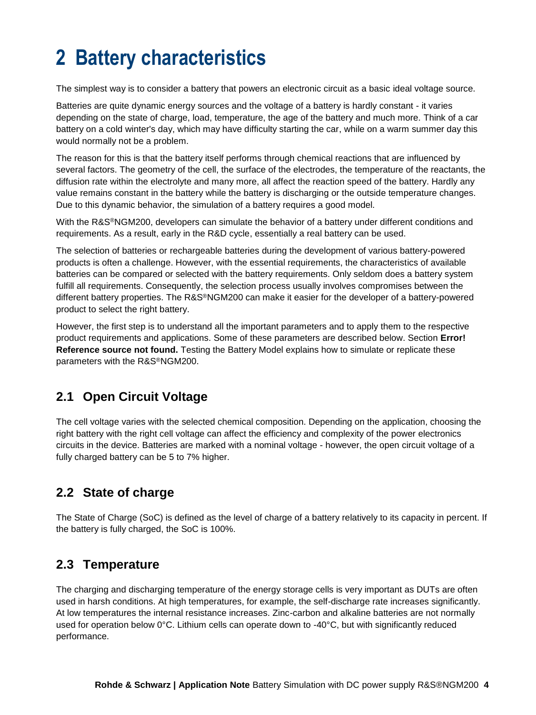# <span id="page-3-0"></span>**2 Battery characteristics**

The simplest way is to consider a battery that powers an electronic circuit as a basic ideal voltage source.

Batteries are quite dynamic energy sources and the voltage of a battery is hardly constant - it varies depending on the state of charge, load, temperature, the age of the battery and much more. Think of a car battery on a cold winter's day, which may have difficulty starting the car, while on a warm summer day this would normally not be a problem.

The reason for this is that the battery itself performs through chemical reactions that are influenced by several factors. The geometry of the cell, the surface of the electrodes, the temperature of the reactants, the diffusion rate within the electrolyte and many more, all affect the reaction speed of the battery. Hardly any value remains constant in the battery while the battery is discharging or the outside temperature changes. Due to this dynamic behavior, the simulation of a battery requires a good model.

With the R&S®NGM200, developers can simulate the behavior of a battery under different conditions and requirements. As a result, early in the R&D cycle, essentially a real battery can be used.

The selection of batteries or rechargeable batteries during the development of various battery-powered products is often a challenge. However, with the essential requirements, the characteristics of available batteries can be compared or selected with the battery requirements. Only seldom does a battery system fulfill all requirements. Consequently, the selection process usually involves compromises between the different battery properties. The R&S®NGM200 can make it easier for the developer of a battery-powered product to select the right battery.

However, the first step is to understand all the important parameters and to apply them to the respective product requirements and applications. Some of these parameters are described below. Section **Error! Reference source not found.** Testing the Battery Model explains how to simulate or replicate these parameters with the R&S®NGM200.

### <span id="page-3-1"></span>**2.1 Open Circuit Voltage**

The cell voltage varies with the selected chemical composition. Depending on the application, choosing the right battery with the right cell voltage can affect the efficiency and complexity of the power electronics circuits in the device. Batteries are marked with a nominal voltage - however, the open circuit voltage of a fully charged battery can be 5 to 7% higher.

### <span id="page-3-2"></span>**2.2 State of charge**

The State of Charge (SoC) is defined as the level of charge of a battery relatively to its capacity in percent. If the battery is fully charged, the SoC is 100%.

#### <span id="page-3-3"></span>**2.3 Temperature**

The charging and discharging temperature of the energy storage cells is very important as DUTs are often used in harsh conditions. At high temperatures, for example, the self-discharge rate increases significantly. At low temperatures the internal resistance increases. Zinc-carbon and alkaline batteries are not normally used for operation below 0°C. Lithium cells can operate down to -40°C, but with significantly reduced performance.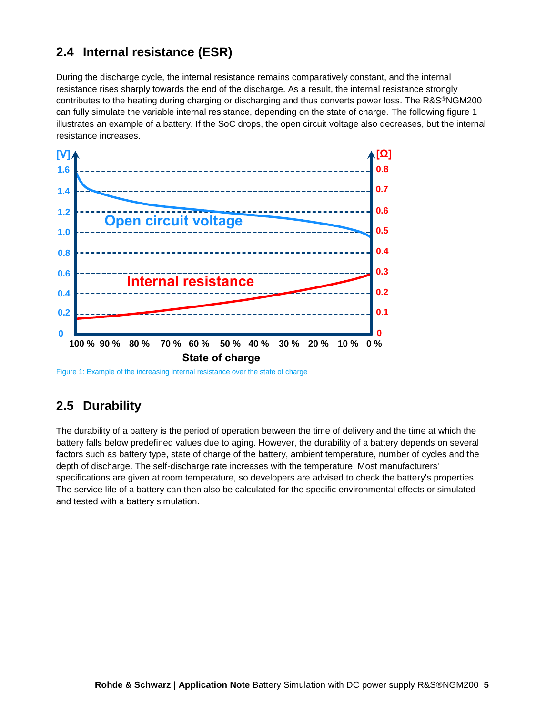### <span id="page-4-0"></span>**2.4 Internal resistance (ESR)**

During the discharge cycle, the internal resistance remains comparatively constant, and the internal resistance rises sharply towards the end of the discharge. As a result, the internal resistance strongly contributes to the heating during charging or discharging and thus converts power loss. The R&S®NGM200 can fully simulate the variable internal resistance, depending on the state of charge. The following figure 1 illustrates an example of a battery. If the SoC drops, the open circuit voltage also decreases, but the internal resistance increases.



<span id="page-4-1"></span>Figure 1: Example of the increasing internal resistance over the state of charge

### **2.5 Durability**

The durability of a battery is the period of operation between the time of delivery and the time at which the battery falls below predefined values due to aging. However, the durability of a battery depends on several factors such as battery type, state of charge of the battery, ambient temperature, number of cycles and the depth of discharge. The self-discharge rate increases with the temperature. Most manufacturers' specifications are given at room temperature, so developers are advised to check the battery's properties. The service life of a battery can then also be calculated for the specific environmental effects or simulated and tested with a battery simulation.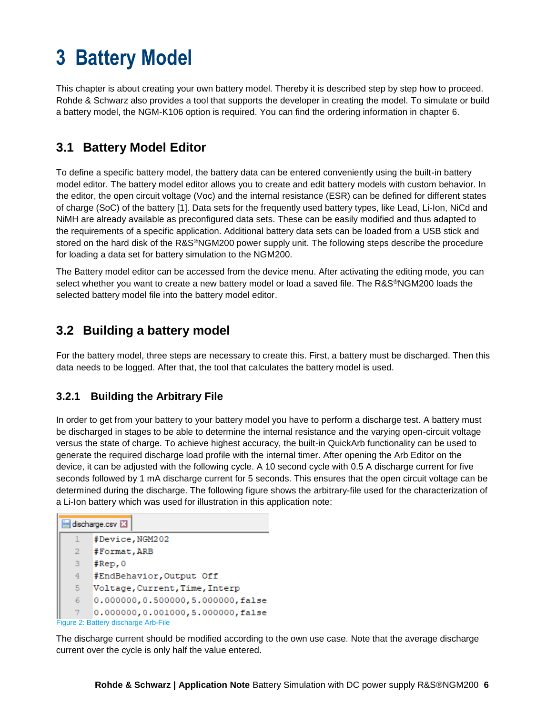# <span id="page-5-0"></span>**3 Battery Model**

This chapter is about creating your own battery model. Thereby it is described step by step how to proceed. Rohde & Schwarz also provides a tool that supports the developer in creating the model. To simulate or build a battery model, the NGM-K106 option is required. You can find the ordering information in chapter [6.](#page-11-0)

### <span id="page-5-1"></span>**3.1 Battery Model Editor**

To define a specific battery model, the battery data can be entered conveniently using the built-in battery model editor. The battery model editor allows you to create and edit battery models with custom behavior. In the editor, the open circuit voltage (Voc) and the internal resistance (ESR) can be defined for different states of charge (SoC) of the battery [1]. Data sets for the frequently used battery types, like Lead, Li-Ion, NiCd and NiMH are already available as preconfigured data sets. These can be easily modified and thus adapted to the requirements of a specific application. Additional battery data sets can be loaded from a USB stick and stored on the hard disk of the R&S®NGM200 power supply unit. The following steps describe the procedure for loading a data set for battery simulation to the NGM200.

The Battery model editor can be accessed from the device menu. After activating the editing mode, you can select whether you want to create a new battery model or load a saved file. The R&S®NGM200 loads the selected battery model file into the battery model editor.

### <span id="page-5-2"></span>**3.2 Building a battery model**

For the battery model, three steps are necessary to create this. First, a battery must be discharged. Then this data needs to be logged. After that, the tool that calculates the battery model is used.

#### <span id="page-5-3"></span>**3.2.1 Building the Arbitrary File**

In order to get from your battery to your battery model you have to perform a discharge test. A battery must be discharged in stages to be able to determine the internal resistance and the varying open-circuit voltage versus the state of charge. To achieve highest accuracy, the built-in QuickArb functionality can be used to generate the required discharge load profile with the internal timer. After opening the Arb Editor on the device, it can be adjusted with the following cycle. A 10 second cycle with 0.5 A discharge current for five seconds followed by 1 mA discharge current for 5 seconds. This ensures that the open circuit voltage can be determined during the discharge. The following figure shows the arbitrary-file used for the characterization of a Li-Ion battery which was used for illustration in this application note:

| discharge.csv X                      |                                  |  |  |  |
|--------------------------------------|----------------------------------|--|--|--|
| ı                                    | #Device, NGM202                  |  |  |  |
| $\overline{2}$                       | #Format, ARB                     |  |  |  |
| 3                                    | #Rep,0                           |  |  |  |
| 4                                    | #EndBehavior, Output Off         |  |  |  |
| 5.                                   | Voltage, Current, Time, Interp   |  |  |  |
| 6                                    | 0.000000,0.500000,5.000000,false |  |  |  |
|                                      | 0.000000,0.001000,5.000000,false |  |  |  |
| Figure 2: Battery discharge Arb-File |                                  |  |  |  |

The discharge current should be modified according to the own use case. Note that the average discharge current over the cycle is only half the value entered.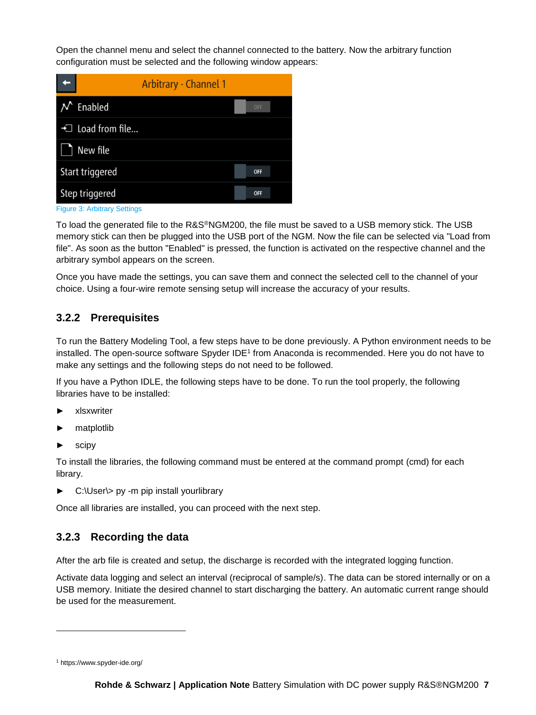Open the channel menu and select the channel connected to the battery. Now the arbitrary function configuration must be selected and the following window appears:



Figure 3: Arbitrary Settings

To load the generated file to the R&S®NGM200, the file must be saved to a USB memory stick. The USB memory stick can then be plugged into the USB port of the NGM. Now the file can be selected via "Load from file". As soon as the button "Enabled" is pressed, the function is activated on the respective channel and the arbitrary symbol appears on the screen.

Once you have made the settings, you can save them and connect the selected cell to the channel of your choice. Using a four-wire remote sensing setup will increase the accuracy of your results.

#### <span id="page-6-0"></span>**3.2.2 Prerequisites**

To run the Battery Modeling Tool, a few steps have to be done previously. A Python environment needs to be installed. The open-source software Spyder IDE<sup>1</sup> from Anaconda is recommended. Here you do not have to make any settings and the following steps do not need to be followed.

If you have a Python IDLE, the following steps have to be done. To run the tool properly, the following libraries have to be installed:

- ► xlsxwriter
- matplotlib
- scipy

To install the libraries, the following command must be entered at the command prompt (cmd) for each library.

► C:\User\> py -m pip install yourlibrary

Once all libraries are installed, you can proceed with the next step.

#### <span id="page-6-1"></span>**3.2.3 Recording the data**

After the arb file is created and setup, the discharge is recorded with the integrated logging function.

Activate data logging and select an interval (reciprocal of sample/s). The data can be stored internally or on a USB memory. Initiate the desired channel to start discharging the battery. An automatic current range should be used for the measurement.

l

<sup>1</sup> https://www.spyder-ide.org/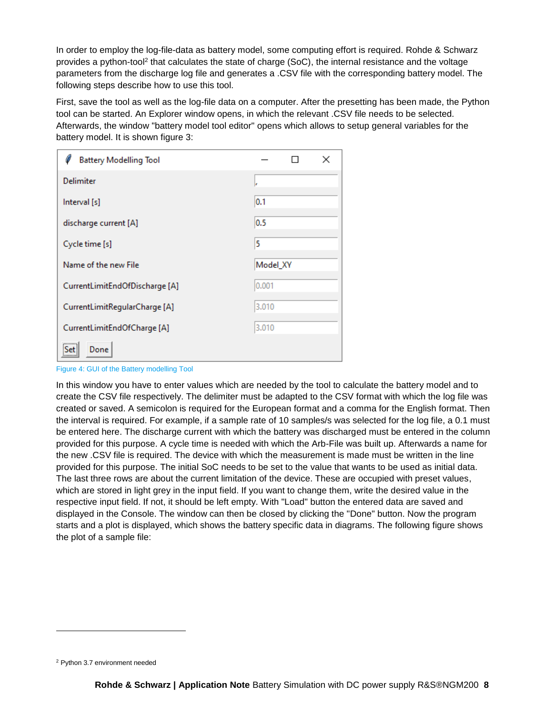In order to employ the log-file-data as battery model, some computing effort is required. Rohde & Schwarz provides a python-tool<sup>2</sup> that calculates the state of charge (SoC), the internal resistance and the voltage parameters from the discharge log file and generates a .CSV file with the corresponding battery model. The following steps describe how to use this tool.

First, save the tool as well as the log-file data on a computer. After the presetting has been made, the Python tool can be started. An Explorer window opens, in which the relevant .CSV file needs to be selected. Afterwards, the window "battery model tool editor" opens which allows to setup general variables for the battery model. It is shown figure 3:

| <b>Battery Modelling Tool</b>  | ×        |  |  |  |
|--------------------------------|----------|--|--|--|
| <b>Delimiter</b>               | le.      |  |  |  |
| Interval [s]                   | 0.1      |  |  |  |
| discharge current [A]          | 0.5      |  |  |  |
| Cycle time [s]                 | 5        |  |  |  |
| Name of the new File           | Model_XY |  |  |  |
| CurrentLimitEndOfDischarge [A] | 0.001    |  |  |  |
| CurrentLimitRegularCharge [A]  | 3.010    |  |  |  |
| CurrentLimitEndOfCharge [A]    | 3.010    |  |  |  |
| Done<br>Set:                   |          |  |  |  |

Figure 4: GUI of the Battery modelling Tool

In this window you have to enter values which are needed by the tool to calculate the battery model and to create the CSV file respectively. The delimiter must be adapted to the CSV format with which the log file was created or saved. A semicolon is required for the European format and a comma for the English format. Then the interval is required. For example, if a sample rate of 10 samples/s was selected for the log file, a 0.1 must be entered here. The discharge current with which the battery was discharged must be entered in the column provided for this purpose. A cycle time is needed with which the Arb-File was built up. Afterwards a name for the new .CSV file is required. The device with which the measurement is made must be written in the line provided for this purpose. The initial SoC needs to be set to the value that wants to be used as initial data. The last three rows are about the current limitation of the device. These are occupied with preset values, which are stored in light grey in the input field. If you want to change them, write the desired value in the respective input field. If not, it should be left empty. With "Load" button the entered data are saved and displayed in the Console. The window can then be closed by clicking the "Done" button. Now the program starts and a plot is displayed, which shows the battery specific data in diagrams. The following figure shows the plot of a sample file:

l

<sup>2</sup> Python 3.7 environment needed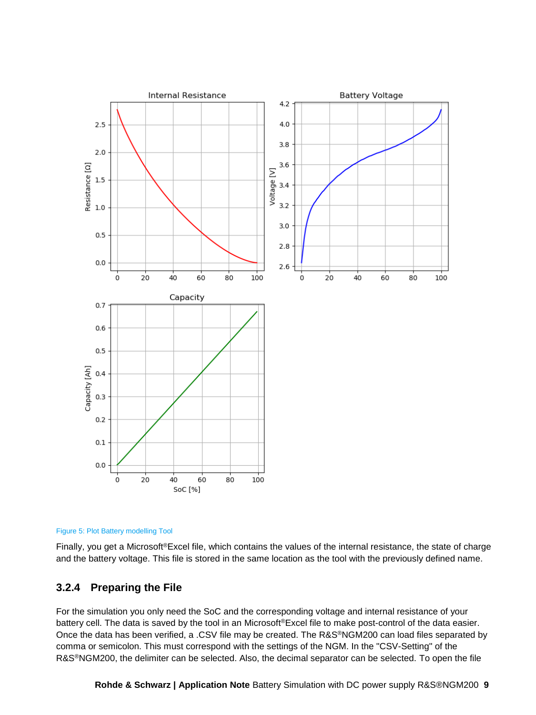



Finally, you get a Microsoft®Excel file, which contains the values of the internal resistance, the state of charge and the battery voltage. This file is stored in the same location as the tool with the previously defined name.

#### <span id="page-8-0"></span>**3.2.4 Preparing the File**

For the simulation you only need the SoC and the corresponding voltage and internal resistance of your battery cell. The data is saved by the tool in an Microsoft®Excel file to make post-control of the data easier. Once the data has been verified, a .CSV file may be created. The R&S®NGM200 can load files separated by comma or semicolon. This must correspond with the settings of the NGM. In the "CSV-Setting" of the R&S®NGM200, the delimiter can be selected. Also, the decimal separator can be selected. To open the file

**Rohde & Schwarz | Application Note** Battery Simulation with DC power supply R&S®NGM200 **9**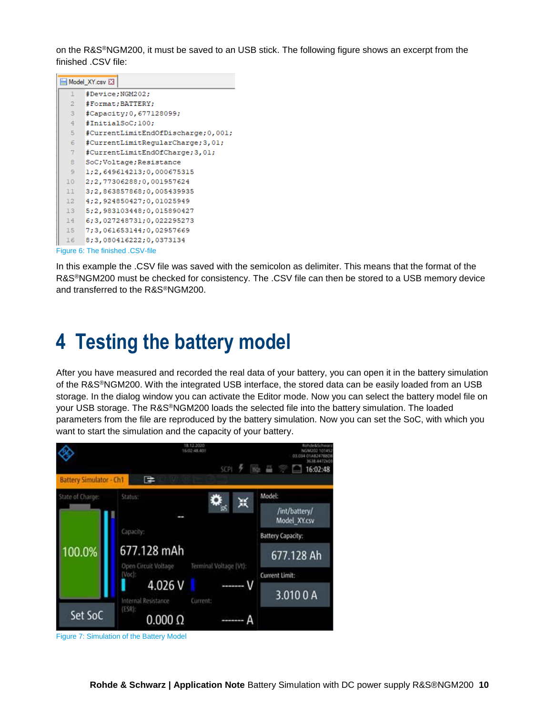on the R&S®NGM200, it must be saved to an USB stick. The following figure shows an excerpt from the finished .CSV file:

| Model XY.csv X |                                     |  |  |  |
|----------------|-------------------------------------|--|--|--|
| T              | #Device;NGM202;                     |  |  |  |
| $\overline{2}$ | #Format; BATTERY;                   |  |  |  |
| 3              | #Capacity; 0, 677128099;            |  |  |  |
| 4              | #InitialSoC:100:                    |  |  |  |
| 5              | #CurrentLimitEndOfDischarge; 0,001; |  |  |  |
| 6              | #CurrentLimitReqularCharge; 3, 01;  |  |  |  |
| 7              | #CurrentLimitEndOfCharge; 3, 01;    |  |  |  |
| 8              | SoC;Voltage;Resistance              |  |  |  |
| 9              | 1:2,649614213:0,000675315           |  |  |  |
| 10             | 2;2,77306288;0,001957624            |  |  |  |
| 11             | 3;2,863857868;0,005439935           |  |  |  |
| 12             | 4; 2, 924850427; 0, 01025949        |  |  |  |
| 13             | 5; 2, 983103448; 0, 015890427       |  |  |  |
| 14             | 6; 3, 027248731; 0, 022295273       |  |  |  |
| 15             | 7:3,061653144:0,02957669            |  |  |  |
| 16             | 8:3,080416222:0,0373134             |  |  |  |
|                | Figure 6: The finished .CSV-file    |  |  |  |

In this example the .CSV file was saved with the semicolon as delimiter. This means that the format of the R&S®NGM200 must be checked for consistency. The .CSV file can then be stored to a USB memory device and transferred to the R&S®NGM200.

### <span id="page-9-0"></span>**4 Testing the battery model**

After you have measured and recorded the real data of your battery, you can open it in the battery simulation of the R&S®NGM200. With the integrated USB interface, the stored data can be easily loaded from an USB storage. In the dialog window you can activate the Editor mode. Now you can select the battery model file on your USB storage. The R&S®NGM200 loads the selected file into the battery simulation. The loaded parameters from the file are reproduced by the battery simulation. Now you can set the SoC, with which you want to start the simulation and the capacity of your battery.



Figure 7: Simulation of the Battery Model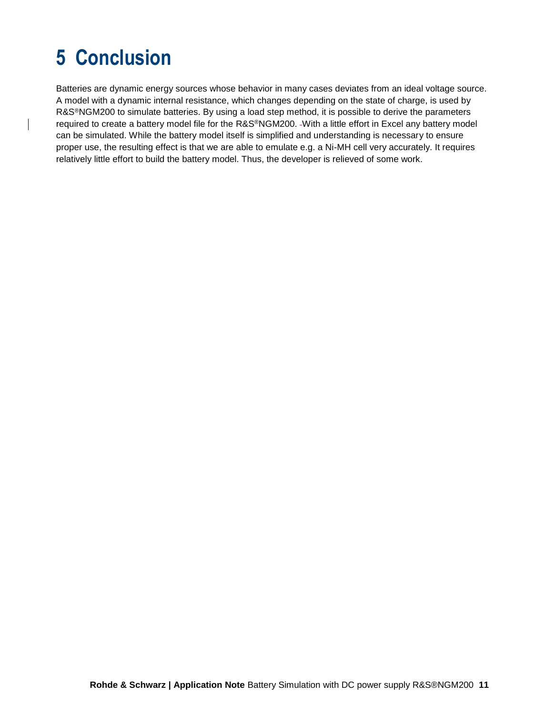# <span id="page-10-0"></span>**5 Conclusion**

Batteries are dynamic energy sources whose behavior in many cases deviates from an ideal voltage source. A model with a dynamic internal resistance, which changes depending on the state of charge, is used by R&S®NGM200 to simulate batteries. By using a load step method, it is possible to derive the parameters required to create a battery model file for the R&S®NGM200. With a little effort in Excel any battery model can be simulated. While the battery model itself is simplified and understanding is necessary to ensure proper use, the resulting effect is that we are able to emulate e.g. a Ni-MH cell very accurately. It requires relatively little effort to build the battery model. Thus, the developer is relieved of some work.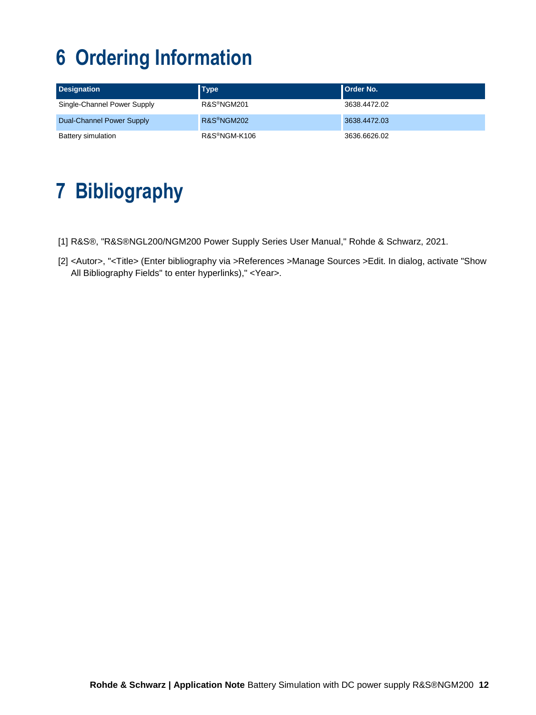# <span id="page-11-0"></span>**6 Ordering Information**

| <b>Designation</b>          | <b>Type</b>               | <b>Order No.</b> |
|-----------------------------|---------------------------|------------------|
| Single-Channel Power Supply | R&S®NGM201                | 3638.4472.02     |
| Dual-Channel Power Supply   | R&S <sup>®</sup> NGM202   | 3638,4472.03     |
| Battery simulation          | R&S <sup>®</sup> NGM-K106 | 3636.6626.02     |

# <span id="page-11-1"></span>**7 Bibliography**

- [1] R&S®, "R&S®NGL200/NGM200 Power Supply Series User Manual," Rohde & Schwarz, 2021.
- [2] <Autor>, "<Title> (Enter bibliography via >References >Manage Sources >Edit. In dialog, activate "Show All Bibliography Fields" to enter hyperlinks)," <Year>.